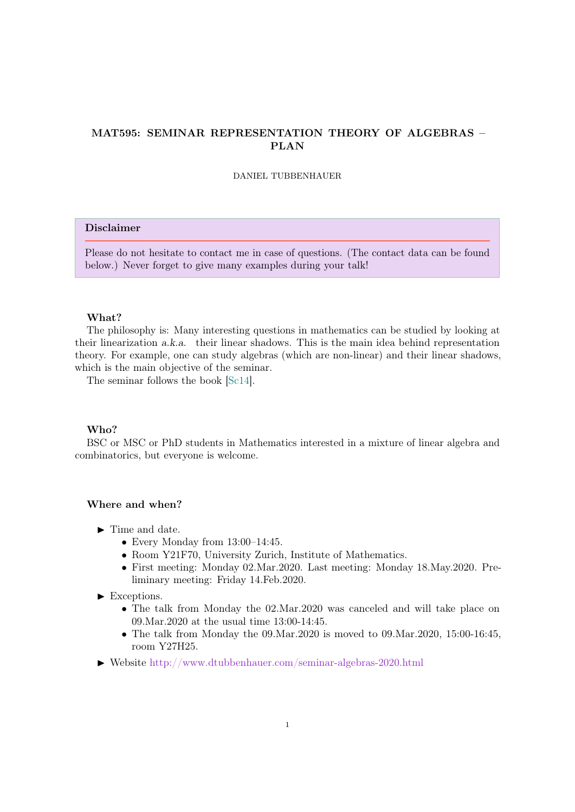# MAT595: SEMINAR REPRESENTATION THEORY OF ALGEBRAS – PLAN

DANIEL TUBBENHAUER

# Disclaimer

Please do not hesitate to contact me in case of questions. (The contact data can be found below.) Never forget to give many examples during your talk!

#### What?

The philosophy is: Many interesting questions in mathematics can be studied by looking at their linearization a.k.a. their linear shadows. This is the main idea behind representation theory. For example, one can study algebras (which are non-linear) and their linear shadows, which is the main objective of the seminar.

The seminar follows the book [\[Sc14\]](#page-4-0).

#### Who?

BSC or MSC or PhD students in Mathematics interested in a mixture of linear algebra and combinatorics, but everyone is welcome.

## Where and when?

- $\blacktriangleright$  Time and date.
	- Every Monday from 13:00–14:45.
	- Room Y21F70, University Zurich, Institute of Mathematics.
	- First meeting: Monday 02.Mar.2020. Last meeting: Monday 18.May.2020. Preliminary meeting: Friday 14.Feb.2020.
- $\blacktriangleright$  Exceptions.
	- The talk from Monday the 02.Mar.2020 was canceled and will take place on 09.Mar.2020 at the usual time 13:00-14:45.
	- The talk from Monday the 09.Mar.2020 is moved to 09.Mar.2020, 15:00-16:45, room Y27H25.
- I Website <http://www.dtubbenhauer.com/seminar-algebras-2020.html>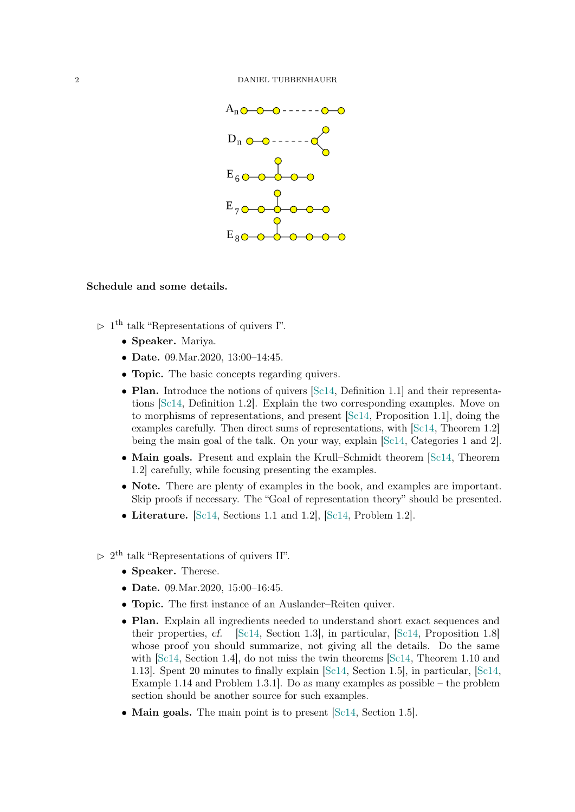

#### Schedule and some details.

- $> 1<sup>th</sup>$  talk "Representations of quivers I".
	- Speaker. Mariya.
	- Date. 09. Mar. 2020, 13:00 14:45.
	- **Topic.** The basic concepts regarding quivers.
	- Plan. Introduce the notions of quivers [\[Sc14,](#page-4-0) Definition 1.1] and their representations [\[Sc14,](#page-4-0) Definition 1.2]. Explain the two corresponding examples. Move on to morphisms of representations, and present [\[Sc14,](#page-4-0) Proposition 1.1], doing the examples carefully. Then direct sums of representations, with [\[Sc14,](#page-4-0) Theorem 1.2] being the main goal of the talk. On your way, explain [\[Sc14,](#page-4-0) Categories 1 and 2].
	- Main goals. Present and explain the Krull–Schmidt theorem [\[Sc14,](#page-4-0) Theorem 1.2] carefully, while focusing presenting the examples.
	- Note. There are plenty of examples in the book, and examples are important. Skip proofs if necessary. The "Goal of representation theory" should be presented.
	- Literature. [\[Sc14,](#page-4-0) Sections 1.1 and 1.2], [\[Sc14,](#page-4-0) Problem 1.2].
- $> 2<sup>th</sup>$  talk "Representations of quivers II".
	- Speaker. Therese.
	- Date. 09. Mar. 2020, 15:00 16:45.
	- **Topic.** The first instance of an Auslander–Reiten quiver.
	- Plan. Explain all ingredients needed to understand short exact sequences and their properties, cf. [\[Sc14,](#page-4-0) Section 1.3], in particular, [\[Sc14,](#page-4-0) Proposition 1.8] whose proof you should summarize, not giving all the details. Do the same with [\[Sc14,](#page-4-0) Section 1.4], do not miss the twin theorems [Sc14, Theorem 1.10 and 1.13]. Spent 20 minutes to finally explain [\[Sc14,](#page-4-0) Section 1.5], in particular, [\[Sc14,](#page-4-0) Example 1.14 and Problem 1.3.1]. Do as many examples as possible – the problem section should be another source for such examples.
	- Main goals. The main point is to present [\[Sc14,](#page-4-0) Section 1.5].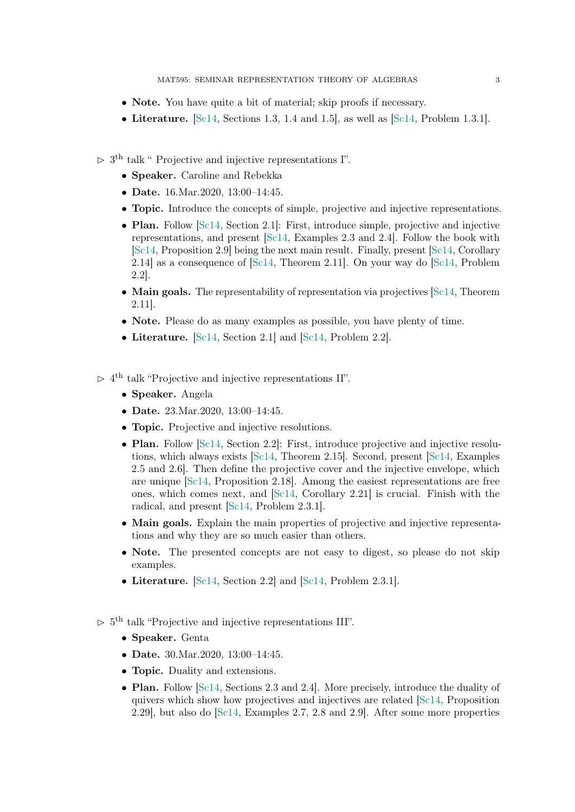- Note. You have quite a bit of material; skip proofs if necessary.
- Literature.  $[Sc14, Sections 1.3, 1.4 and 1.5]$  $[Sc14, Sections 1.3, 1.4 and 1.5]$ , as well as  $[Sc14, Problem 1.3.1]$ .
- $> 3<sup>th</sup>$  talk " Projective and injective representations I".
	- Speaker. Caroline and Rebekka
	- Date. 16. Mar. 2020, 13:00 14:45.
	- Topic. Introduce the concepts of simple, projective and injective representations.
	- Plan. Follow [\[Sc14,](#page-4-0) Section 2.1]: First, introduce simple, projective and injective representations, and present [\[Sc14,](#page-4-0) Examples 2.3 and 2.4]. Follow the book with [\[Sc14,](#page-4-0) Proposition 2.9] being the next main result. Finally, present [\[Sc14,](#page-4-0) Corollary 2.14] as a consequence of [\[Sc14,](#page-4-0) Theorem 2.11]. On your way do [\[Sc14,](#page-4-0) Problem 2.2].
	- Main goals. The representability of representation via projectives [\[Sc14,](#page-4-0) Theorem] 2.11].
	- Note. Please do as many examples as possible, you have plenty of time.
	- Literature. [\[Sc14,](#page-4-0) Section 2.1] and [\[Sc14,](#page-4-0) Problem 2.2].

 $> 4<sup>th</sup>$  talk "Projective and injective representations II".

- Speaker. Angela
- Date. 23. Mar. 2020, 13:00-14:45.
- Topic. Projective and injective resolutions.
- Plan. Follow [\[Sc14,](#page-4-0) Section 2.2]: First, introduce projective and injective resolutions, which always exists [\[Sc14,](#page-4-0) Theorem 2.15]. Second, present [\[Sc14,](#page-4-0) Examples 2.5 and 2.6]. Then define the projective cover and the injective envelope, which are unique [\[Sc14,](#page-4-0) Proposition 2.18]. Among the easiest representations are free ones, which comes next, and  $\left[\text{Sc14}, \text{Corollary } 2.21\right]$  is crucial. Finish with the radical, and present [\[Sc14,](#page-4-0) Problem 2.3.1].
- Main goals. Explain the main properties of projective and injective representations and why they are so much easier than others.
- Note. The presented concepts are not easy to digest, so please do not skip examples.
- Literature. [\[Sc14,](#page-4-0) Section 2.2] and [\[Sc14,](#page-4-0) Problem 2.3.1].
- $> 5<sup>th</sup>$  talk "Projective and injective representations III".
	- Speaker. Genta
	- Date. 30. Mar. 2020, 13:00 14:45.
	- **Topic.** Duality and extensions.
	- Plan. Follow [\[Sc14,](#page-4-0) Sections 2.3 and 2.4]. More precisely, introduce the duality of quivers which show how projectives and injectives are related [\[Sc14,](#page-4-0) Proposition 2.29], but also do [\[Sc14,](#page-4-0) Examples 2.7, 2.8 and 2.9]. After some more properties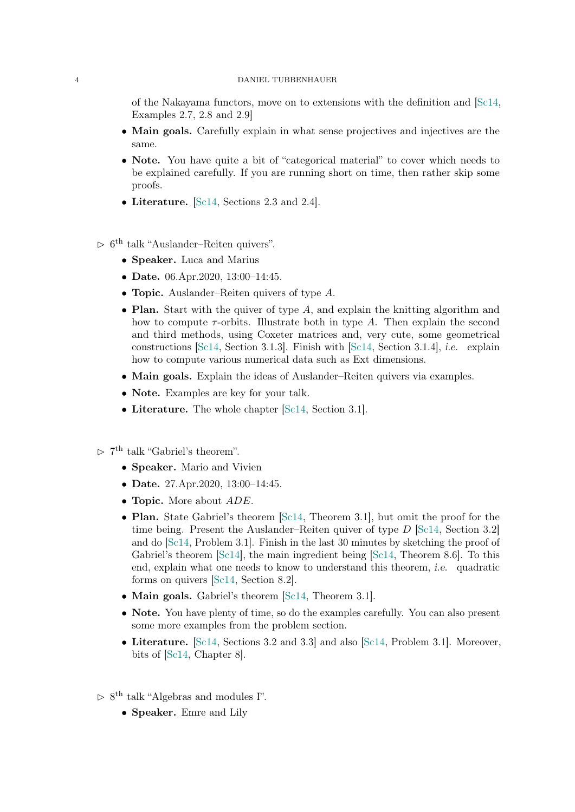## 4 DANIEL TUBBENHAUER

of the Nakayama functors, move on to extensions with the definition and [\[Sc14,](#page-4-0) Examples 2.7, 2.8 and 2.9]

- Main goals. Carefully explain in what sense projectives and injectives are the same.
- Note. You have quite a bit of "categorical material" to cover which needs to be explained carefully. If you are running short on time, then rather skip some proofs.
- Literature. [\[Sc14,](#page-4-0) Sections 2.3 and 2.4].
- $> 6<sup>th</sup>$  talk "Auslander–Reiten quivers".
	- Speaker. Luca and Marius
	- Date. 06.Apr.2020, 13:00-14:45.
	- **Topic.** Auslander–Reiten quivers of type A.
	- Plan. Start with the quiver of type  $A$ , and explain the knitting algorithm and how to compute  $\tau$ -orbits. Illustrate both in type A. Then explain the second and third methods, using Coxeter matrices and, very cute, some geometrical constructions [\[Sc14,](#page-4-0) Section 3.1.3]. Finish with [\[Sc14,](#page-4-0) Section 3.1.4], i.e. explain how to compute various numerical data such as Ext dimensions.
	- Main goals. Explain the ideas of Auslander–Reiten quivers via examples.
	- Note. Examples are key for your talk.
	- Literature. The whole chapter [\[Sc14,](#page-4-0) Section 3.1].
- $\triangleright$  7<sup>th</sup> talk "Gabriel's theorem".
	- Speaker. Mario and Vivien
	- Date. 27.Apr.2020, 13:00-14:45.
	- Topic. More about  $ADE$ .
	- Plan. State Gabriel's theorem [\[Sc14,](#page-4-0) Theorem 3.1], but omit the proof for the time being. Present the Auslander–Reiten quiver of type  $D$  [\[Sc14,](#page-4-0) Section 3.2] and do [\[Sc14,](#page-4-0) Problem 3.1]. Finish in the last 30 minutes by sketching the proof of Gabriel's theorem [\[Sc14\]](#page-4-0), the main ingredient being [\[Sc14,](#page-4-0) Theorem 8.6]. To this end, explain what one needs to know to understand this theorem, i.e. quadratic forms on quivers [\[Sc14,](#page-4-0) Section 8.2].
	- Main goals. Gabriel's theorem [\[Sc14,](#page-4-0) Theorem 3.1].
	- Note. You have plenty of time, so do the examples carefully. You can also present some more examples from the problem section.
	- Literature. [\[Sc14,](#page-4-0) Sections 3.2 and 3.3] and also [\[Sc14,](#page-4-0) Problem 3.1]. Moreover, bits of [\[Sc14,](#page-4-0) Chapter 8].
- $> 8^{\text{th}}$  talk "Algebras and modules I".
	- Speaker. Emre and Lily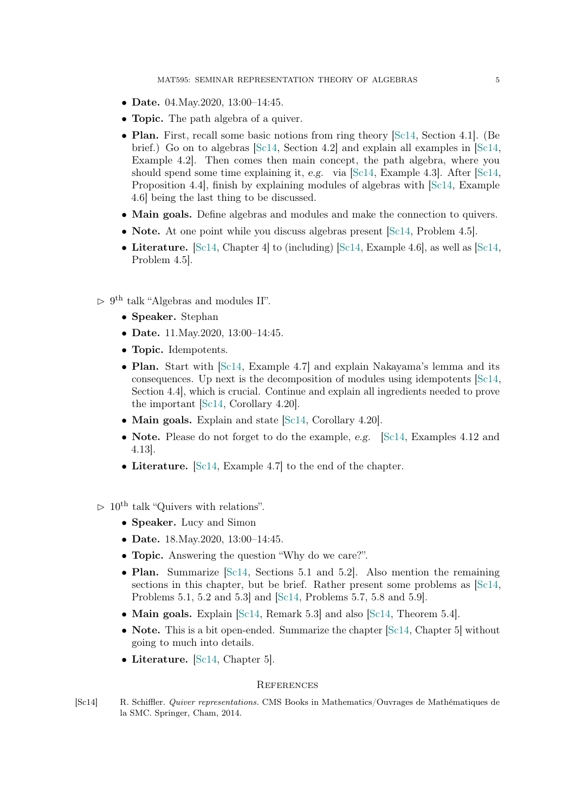- Date. 04. May. 2020, 13:00 14:45.
- **Topic.** The path algebra of a quiver.
- Plan. First, recall some basic notions from ring theory [\[Sc14,](#page-4-0) Section 4.1]. (Be brief.) Go on to algebras [\[Sc14,](#page-4-0) Section 4.2] and explain all examples in [\[Sc14,](#page-4-0) Example 4.2]. Then comes then main concept, the path algebra, where you should spend some time explaining it, e.g. via [\[Sc14,](#page-4-0) Example 4.3]. After [\[Sc14,](#page-4-0) Proposition 4.4], finish by explaining modules of algebras with [\[Sc14,](#page-4-0) Example 4.6] being the last thing to be discussed.
- Main goals. Define algebras and modules and make the connection to quivers.
- Note. At one point while you discuss algebras present [\[Sc14,](#page-4-0) Problem 4.5].
- Literature.  $\text{[Sc14, Chapter 4]}$  $\text{[Sc14, Chapter 4]}$  $\text{[Sc14, Chapter 4]}$  to (including)  $\text{[Sc14, Example 4.6]},$  as well as  $\text{[Sc14]}$ Problem 4.5].
- $> 9<sup>th</sup>$  talk "Algebras and modules II".
	- Speaker. Stephan
	- Date. 11. May. 2020, 13:00 14:45.
	- Topic. Idempotents.
	- Plan. Start with [\[Sc14,](#page-4-0) Example 4.7] and explain Nakayama's lemma and its consequences. Up next is the decomposition of modules using idempotents [\[Sc14,](#page-4-0) Section 4.4], which is crucial. Continue and explain all ingredients needed to prove the important [\[Sc14,](#page-4-0) Corollary 4.20].
	- Main goals. Explain and state [\[Sc14,](#page-4-0) Corollary 4.20].
	- Note. Please do not forget to do the example, e.g. [\[Sc14,](#page-4-0) Examples 4.12 and 4.13].
	- Literature. [\[Sc14,](#page-4-0) Example 4.7] to the end of the chapter.
- $> 10^{th}$  talk "Quivers with relations".
	- Speaker. Lucy and Simon
	- Date. 18. May. 2020, 13:00 14:45.
	- **Topic.** Answering the question "Why do we care?".
	- Plan. Summarize  $\lbrack \mathcal{S}c14,$  Sections 5.1 and 5.2. Also mention the remaining sections in this chapter, but be brief. Rather present some problems as [\[Sc14,](#page-4-0) Problems 5.1, 5.2 and 5.3] and [\[Sc14,](#page-4-0) Problems 5.7, 5.8 and 5.9].
	- Main goals. Explain [\[Sc14,](#page-4-0) Remark 5.3] and also [Sc14, Theorem 5.4].
	- Note. This is a bit open-ended. Summarize the chapter  $\lceil \text{Sc14}, \text{Chapter 5} \rceil$  without going to much into details.
	- Literature. [\[Sc14,](#page-4-0) Chapter 5].

#### **REFERENCES**

<span id="page-4-0"></span>[Sc14] R. Schiffler. Quiver representations. CMS Books in Mathematics/Ouvrages de Mathématiques de la SMC. Springer, Cham, 2014.